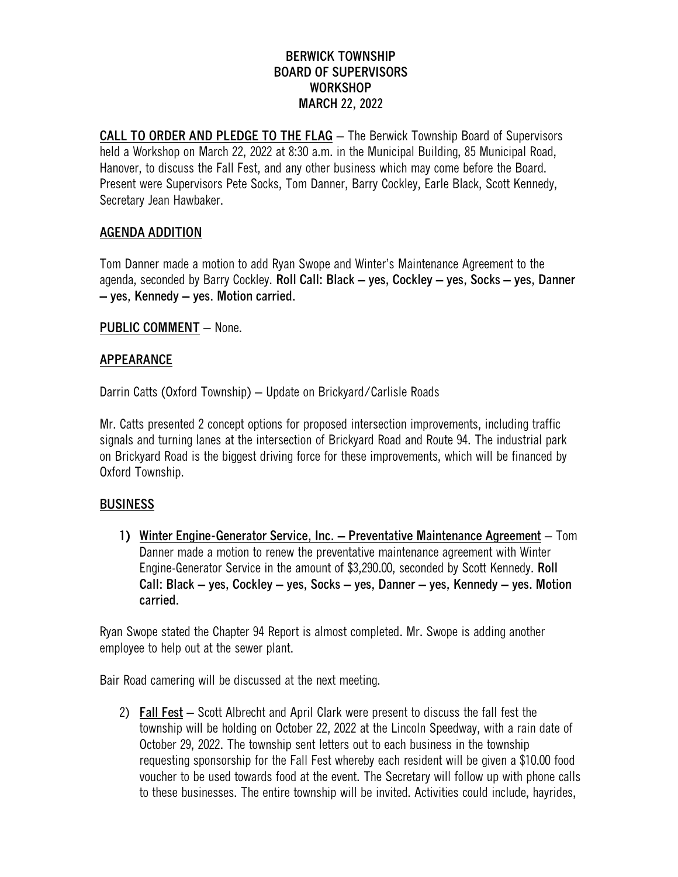## **BERWICK TOWNSHIP BOARD OF SUPERVISORS WORKSHOP MARCH 22, 2022**

**CALL TO ORDER AND PLEDGE TO THE FLAG** – The Berwick Township Board of Supervisors held a Workshop on March 22, 2022 at 8:30 a.m. in the Municipal Building, 85 Municipal Road, Hanover, to discuss the Fall Fest, and any other business which may come before the Board. Present were Supervisors Pete Socks, Tom Danner, Barry Cockley, Earle Black, Scott Kennedy, Secretary Jean Hawbaker.

# **AGENDA ADDITION**

Tom Danner made a motion to add Ryan Swope and Winter's Maintenance Agreement to the agenda, seconded by Barry Cockley. **Roll Call: Black – yes, Cockley – yes, Socks – yes, Danner – yes, Kennedy – yes. Motion carried.**

### **PUBLIC COMMENT** – None.

### **APPEARANCE**

Darrin Catts (Oxford Township) – Update on Brickyard/Carlisle Roads

Mr. Catts presented 2 concept options for proposed intersection improvements, including traffic signals and turning lanes at the intersection of Brickyard Road and Route 94. The industrial park on Brickyard Road is the biggest driving force for these improvements, which will be financed by Oxford Township.

### **BUSINESS**

**1) Winter Engine-Generator Service, Inc. – Preventative Maintenance Agreement** – Tom Danner made a motion to renew the preventative maintenance agreement with Winter Engine-Generator Service in the amount of \$3,290.00, seconded by Scott Kennedy. **Roll Call: Black – yes, Cockley – yes, Socks – yes, Danner – yes, Kennedy – yes. Motion carried.**

Ryan Swope stated the Chapter 94 Report is almost completed. Mr. Swope is adding another employee to help out at the sewer plant.

Bair Road camering will be discussed at the next meeting.

2) **Fall Fest** – Scott Albrecht and April Clark were present to discuss the fall fest the township will be holding on October 22, 2022 at the Lincoln Speedway, with a rain date of October 29, 2022. The township sent letters out to each business in the township requesting sponsorship for the Fall Fest whereby each resident will be given a \$10.00 food voucher to be used towards food at the event. The Secretary will follow up with phone calls to these businesses. The entire township will be invited. Activities could include, hayrides,